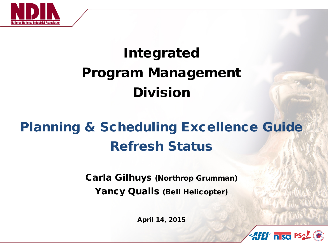

# Integrated Program Management Division

#### Planning & Scheduling Excellence Guide Refresh Status

Carla Gilhuys (Northrop Grumman) Yancy Qualls (Bell Helicopter)

April 14, 2015

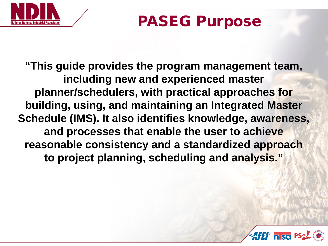

#### PASEG Purpose

**"This guide provides the program management team, including new and experienced master planner/schedulers, with practical approaches for building, using, and maintaining an Integrated Master Schedule (IMS). It also identifies knowledge, awareness, and processes that enable the user to achieve reasonable consistency and a standardized approach to project planning, scheduling and analysis."**

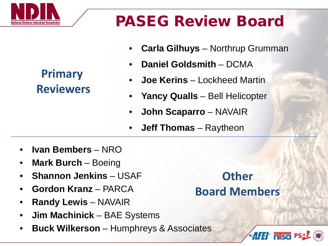

#### **Primary Reviewers**

## PASEG Review Board

- **Carla Gilhuys** Northrup Grumman
- **Daniel Goldsmith**  DCMA
- **Joe Kerins**  Lockheed Martin
- **Yancy Qualls**  Bell Helicopter
- **John Scaparro** NAVAIR
- **Jeff Thomas**  Raytheon
- **Ivan Bembers** NRO
- **Mark Burch**  Boeing
- **Shannon Jenkins**  USAF
- **Gordon Kranz**  PARCA
- **Randy Lewis**  NAVAIR
- **Jim Machinick** BAE Systems
- **Buck Wilkerson**  Humphreys & Associates

#### **Other Board Members**

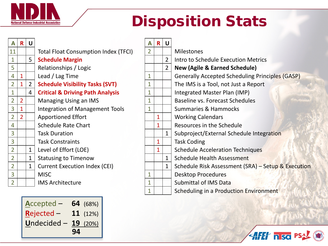

**A**ccepted – **64** (68%)

**R**ejected – **11** (12%)

**U**ndecided – **19** (20%)

#### Disposition Stats

| A              | $\mathbf{R}$ | U              |                                             | A | R | U              |                                                        |
|----------------|--------------|----------------|---------------------------------------------|---|---|----------------|--------------------------------------------------------|
| 11             |              |                | <b>Total Float Consumption Index (TFCI)</b> | 2 |   |                | <b>Milestones</b>                                      |
| $\mathbf 1$    |              | 5 <sup>1</sup> | <b>Schedule Margin</b>                      |   |   | $\overline{2}$ | Intro to Schedule Execution Metrics                    |
| 5              |              |                | Relationships / Logic                       |   |   | $\overline{2}$ | <b>New (Agile &amp; Earned Schedule)</b>               |
| $\overline{4}$ |              |                | Lead / Lag Time                             | 1 |   |                | <b>Generally Accepted Scheduling Principles (GASP)</b> |
| $\overline{2}$ |              | $\overline{2}$ | <b>Schedule Visibility Tasks (SVT)</b>      | 1 |   |                | The IMS is a Tool, not Just a Report                   |
| $\mathbf{1}$   |              | 4              | <b>Critical &amp; Driving Path Analysis</b> | 1 |   |                | Integrated Master Plan (IMP)                           |
| $\overline{2}$ |              |                | Managing Using an IMS                       |   |   |                | Baseline vs. Forecast Schedules                        |
| $\overline{3}$ |              |                | Integration of Management Tools             |   |   |                | <b>Summaries &amp; Hammocks</b>                        |
| $\overline{2}$ |              |                | <b>Apportioned Effort</b>                   |   |   |                | <b>Working Calendars</b>                               |
| $\overline{4}$ |              |                | <b>Schedule Rate Chart</b>                  |   | 1 |                | Resources in the Schedule                              |
| 3              |              |                | <b>Task Duration</b>                        |   |   | $\mathbf{1}$   | Subproject/External Schedule Integration               |
| 3              |              |                | <b>Task Constraints</b>                     |   | 1 |                | <b>Task Coding</b>                                     |
| $\overline{2}$ |              | $\mathbf{1}$   | Level of Effort (LOE)                       |   | 1 |                | <b>Schedule Acceleration Techniques</b>                |
| $\overline{2}$ |              | 1              | <b>Statusing to Timenow</b>                 |   |   | $\mathbf{1}$   | <b>Schedule Health Assessment</b>                      |
| $\overline{2}$ |              | $\mathbf{1}$   | <b>Current Execution Index (CEI)</b>        |   |   | $\mathbf 1$    | Schedule Risk Assessment (SRA) - Setup & Execution     |
| 3              |              |                | <b>MISC</b>                                 | 1 |   |                | <b>Desktop Procedures</b>                              |
| $\overline{2}$ |              |                | <b>IMS Architecture</b>                     | 1 |   |                | <b>Submittal of IMS Data</b>                           |
|                |              |                |                                             |   |   |                | Scheduling in a Production Environment                 |